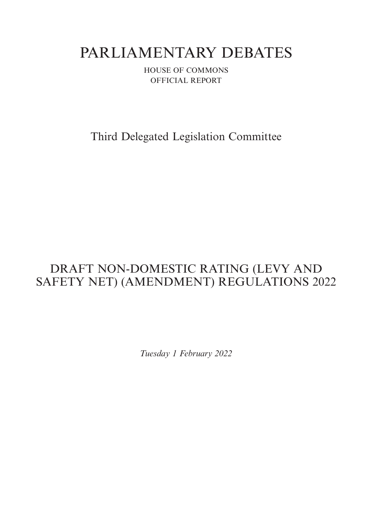# PARLIAMENTARY DEBATES

HOUSE OF COMMONS OFFICIAL REPORT

Third Delegated Legislation Committee

## DRAFT NON-DOMESTIC RATING (LEVY AND SAFETY NET) (AMENDMENT) REGULATIONS 2022

*Tuesday 1 February 2022*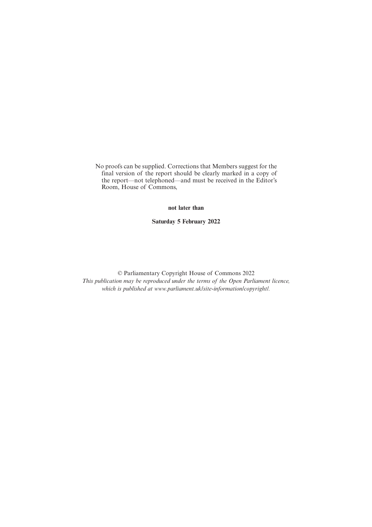No proofs can be supplied. Corrections that Members suggest for the final version of the report should be clearly marked in a copy of the report—not telephoned—and must be received in the Editor's Room, House of Commons,

**not later than**

**Saturday 5 February 2022**

© Parliamentary Copyright House of Commons 2022 *This publication may be reproduced under the terms of the Open Parliament licence, which is published at www.parliament.uk/site-information/copyright/.*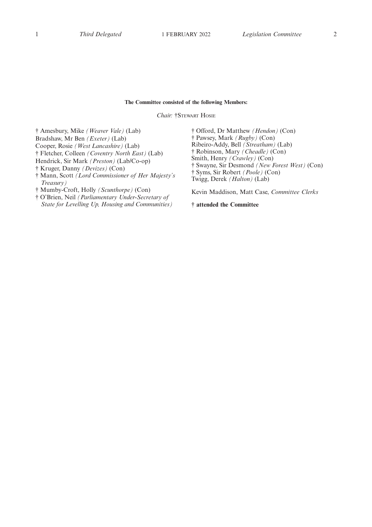### **The Committee consisted of the following Members:**

*Chair:* †STEWART HOSIE

† Amesbury, Mike *(Weaver Vale)* (Lab)

Bradshaw, Mr Ben *(Exeter)* (Lab)

Cooper, Rosie *(West Lancashire)* (Lab)

† Fletcher, Colleen *(Coventry North East)* (Lab)

Hendrick, Sir Mark *(Preston)* (Lab/Co-op)

† Kruger, Danny *(Devizes)* (Con)

† Mann, Scott *(Lord Commissioner of Her Majesty's Treasury)*

† Mumby-Croft, Holly *(Scunthorpe)* (Con)

† O'Brien, Neil *(Parliamentary Under-Secretary of State for Levelling Up, Housing and Communities)* † Offord, Dr Matthew *(Hendon)* (Con) † Pawsey, Mark *(Rugby)* (Con) Ribeiro-Addy, Bell *(Streatham)* (Lab) † Robinson, Mary *(Cheadle)* (Con) Smith, Henry *(Crawley)* (Con) † Swayne, Sir Desmond *(New Forest West)* (Con) † Syms, Sir Robert *(Poole)* (Con) Twigg, Derek *(Halton)* (Lab)

Kevin Maddison, Matt Case, *Committee Clerks*

**† attended the Committee**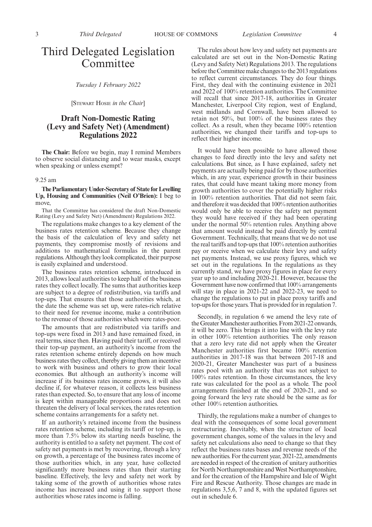## Third Delegated Legislation Committee

*Tuesday 1 February 2022*

[STEWART HOSIE *in the Chair*]

## **Draft Non-Domestic Rating (Levy and Safety Net) (Amendment) Regulations 2022**

**The Chair:** Before we begin, may I remind Members to observe social distancing and to wear masks, except when speaking or unless exempt?

9.25 am

#### **The Parliamentary Under-Secretary of State for Levelling Up, Housing and Communities (Neil O'Brien):** I beg to move,

That the Committee has considered the draft Non-Domestic Rating (Levy and Safety Net) (Amendment) Regulations 2022.

The regulations make changes to a key element of the business rates retention scheme. Because they change the basis of the calculation of levy and safety net payments, they compromise mostly of revisions and additions to mathematical formulas in the parent regulations. Although they look complicated, their purpose is easily explained and understood.

The business rates retention scheme, introduced in 2013, allows local authorities to keep half of the business rates they collect locally. The sums that authorities keep are subject to a degree of redistribution, via tariffs and top-ups. That ensures that those authorities which, at the date the scheme was set up, were rates-rich relative to their need for revenue income, make a contribution to the revenue of those authorities which were rates-poor.

The amounts that are redistributed via tariffs and top-ups were fixed in 2013 and have remained fixed, in real terms, since then. Having paid their tariff, or received their top-up payment, an authority's income from the rates retention scheme entirely depends on how much business rates they collect, thereby giving them an incentive to work with business and others to grow their local economies. But although an authority's income will increase if its business rates income grows, it will also decline if, for whatever reason, it collects less business rates than expected. So, to ensure that any loss of income is kept within manageable proportions and does not threaten the delivery of local services, the rates retention scheme contains arrangements for a safety net.

If an authority's retained income from the business rates retention scheme, including its tariff or top-up, is more than 7.5% below its starting needs baseline, the authority is entitled to a safety net payment. The cost of safety net payments is met by recovering, through a levy on growth, a percentage of the business rates income of those authorities which, in any year, have collected significantly more business rates than their starting baseline. Effectively, the levy and safety net work by taking some of the growth of authorities whose rates income has increased and using it to support those authorities whose rates income is falling.

The rules about how levy and safety net payments are calculated are set out in the Non-Domestic Rating (Levy and Safety Net) Regulations 2013. The regulations before the Committee make changes to the 2013 regulations to reflect current circumstances. They do four things. First, they deal with the continuing existence in 2021 and 2022 of 100% retention authorities. The Committee will recall that since 2017-18, authorities in Greater Manchester, Liverpool City region, west of England, west midlands and Cornwall, have been allowed to retain not 50%, but 100% of the business rates they collect. As a result, when they became 100% retention authorities, we changed their tariffs and top-ups to reflect their higher income.

It would have been possible to have allowed those changes to feed directly into the levy and safety net calculations. But since, as I have explained, safety net payments are actually being paid for by those authorities which, in any year, experience growth in their business rates, that could have meant taking more money from growth authorities to cover the potentially higher risks in 100% retention authorities. That did not seem fair, and therefore it was decided that 100% retention authorities would only be able to receive the safety net payment they would have received if they had been operating under the normal 50% retention rules. Anything above that amount would instead be paid directly by central Government. Technically, that means that we do not use the real tariffs and top-ups that 100% retention authorities pay or receive when we calculate their levy and safety net payments. Instead, we use proxy figures, which we set out in the regulations. In the regulations as they currently stand, we have proxy figures in place for every year up to and including 2020-21. However, because the Government have now confirmed that 100% arrangements will stay in place in 2021-22 and 2022-23, we need to change the regulations to put in place proxy tariffs and top-ups for those years. That is provided for in regulation 7.

Secondly, in regulation 6 we amend the levy rate of the Greater Manchester authorities. From 2021-22 onwards, it will be zero. This brings it into line with the levy rate in other 100% retention authorities. The only reason that a zero levy rate did not apply when the Greater Manchester authorities first became 100% retention authorities in 2017-18 was that between 2017-18 and 2020-21, Greater Manchester was part of a business rates pool with an authority that was not subject to 100% rates retention. In those circumstances, the levy rate was calculated for the pool as a whole. The pool arrangements finished at the end of 2020-21, and so going forward the levy rate should be the same as for other 100% retention authorities.

Thirdly, the regulations make a number of changes to deal with the consequences of some local government restructuring. Inevitably, when the structure of local government changes, some of the values in the levy and safety net calculations also need to change so that they reflect the business rates bases and revenue needs of the new authorities. For the current year, 2021-22, amendments are needed in respect of the creation of unitary authorities for North Northamptonshire and West Northamptonshire, and for the creation of the Hampshire and Isle of Wight Fire and Rescue Authority. Those changes are made in regulations 3,5,6, 7 and 8, with the updated figures set out in schedule 6.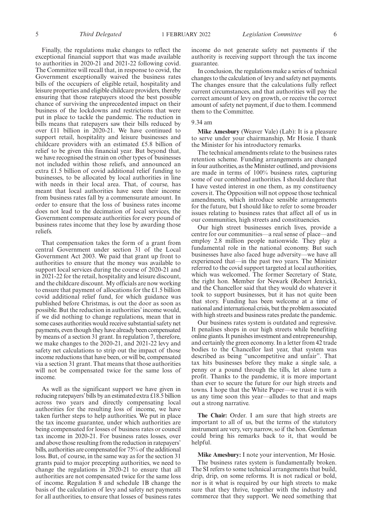Finally, the regulations make changes to reflect the exceptional financial support that was made available to authorities in 2020-21 and 2021-22 following covid. The Committee will recall that, in response to covid, the Government exceptionally waived the business rates bills of the occupiers of eligible retail, hospitality and leisure properties and eligible childcare providers, thereby ensuring that those ratepayers stood the best possible chance of surviving the unprecedented impact on their business of the lockdowns and restrictions that were put in place to tackle the pandemic. The reduction in bills means that ratepayers saw their bills reduced by over £11 billion in 2020-21. We have continued to support retail, hospitality and leisure businesses and childcare providers with an estimated £5.8 billion of relief to be given this financial year. But beyond that, we have recognised the strain on other types of businesses not included within those reliefs, and announced an extra £1.5 billion of covid additional relief funding to businesses, to be allocated by local authorities in line with needs in their local area. That, of course, has meant that local authorities have seen their income from business rates fall by a commensurate amount. In order to ensure that the loss of business rates income does not lead to the decimation of local services, the Government compensate authorities for every pound of business rates income that they lose by awarding those reliefs.

That compensation takes the form of a grant from central Government under section 31 of the Local Government Act 2003. We paid that grant up front to authorities to ensure that the money was available to support local services during the course of 2020-21 and in 2021-22 for the retail, hospitality and leisure discount, and the childcare discount. My officials are now working to ensure that payment of allocations for the £1.5 billion covid additional relief fund, for which guidance was published before Christmas, is out the door as soon as possible. But the reduction in authorities' income would, if we did nothing to change regulations, mean that in some cases authorities would receive substantial safety net payments, even though they have already been compensated by means of a section 31 grant. In regulation 7, therefore, we make changes to the 2020-21, and 2021-22 levy and safety net calculations to strip out the impact of those income reductions that have been, or will be, compensated via a section 31 grant. That means that those authorities will not be compensated twice for the same loss of income.

As well as the significant support we have given in reducing ratepayers'bills by an estimated extra £18.5 billion across two years and directly compensating local authorities for the resulting loss of income, we have taken further steps to help authorities. We put in place the tax income guarantee, under which authorities are being compensated for losses of business rates or council tax income in 2020-21. For business rates losses, over and above those resulting from the reduction in ratepayers' bills, authorities are compensated for 75% of the additional loss. But, of course, in the same way as for the section 31 grants paid to major precepting authorities, we need to change the regulations in 2020-21 to ensure that all authorities are not compensated twice for the same loss of income. Regulation 8 and schedule 1B change the basis of the calculation of levy and safety net payments for all authorities, to ensure that losses of business rates

income do not generate safety net payments if the authority is receiving support through the tax income guarantee.

In conclusion, the regulations make a series of technical changes to the calculation of levy and safety net payments. The changes ensure that the calculations fully reflect current circumstances, and that authorities will pay the correct amount of levy on growth, or receive the correct amount of safety net payment, if due to them. I commend them to the Committee.

### 9.34 am

**Mike Amesbury** (Weaver Vale) (Lab): It is a pleasure to serve under your chairmanship, Mr Hosie. I thank the Minister for his introductory remarks.

The technical amendments relate to the business rates retention scheme. Funding arrangements are changed in four authorities, as the Minister outlined, and provisions are made in terms of 100% business rates, capturing some of our combined authorities. I should declare that I have vested interest in one them, as my constituency covers it. The Opposition will not oppose those technical amendments, which introduce sensible arrangements for the future, but I should like to refer to some broader issues relating to business rates that affect all of us in our communities, high streets and constituencies.

Our high street businesses enrich lives, provide a centre for our communities—a real sense of place—and employ 2.8 million people nationwide. They play a fundamental role in the national economy. But such businesses have also faced huge adversity—we have all experienced that—in the past two years. The Minister referred to the covid support targeted at local authorities, which was welcomed. The former Secretary of State, the right hon. Member for Newark (Robert Jenrick), and the Chancellor said that they would do whatever it took to support businesses, but it has not quite been that story. Funding has been welcome at a time of national and international crisis, but the problem associated with high streets and business rates predate the pandemic.

Our business rates system is outdated and regressive. It penalises shops in our high streets while benefiting online giants. It punishes investment and entrepreneurship, and certainly the green economy. In a letter from 42 trade bodies to the Chancellor last year, that system was described as being "uncompetitive and unfair". That tax hits businesses before they make a single sale, a penny or a pound through the tills, let alone turn a profit. Thanks to the pandemic, it is more important than ever to secure the future for our high streets and towns. I hope that the White Paper—we trust it is with us any time soon this year—alludes to that and maps out a strong narrative.

**The Chair:** Order. I am sure that high streets are important to all of us, but the terms of the statutory instrument are very, very narrow, so if the hon. Gentleman could bring his remarks back to it, that would be helpful.

**Mike Amesbury:** I note your intervention, Mr Hosie. The business rates system is fundamentally broken. The SI refers to some technical arrangements that build, drip, drip, on some reforms. It is not radical or bold, nor is it what is required by our high streets to make sure that they thrive, together with the industry and commerce that they support. We need something that